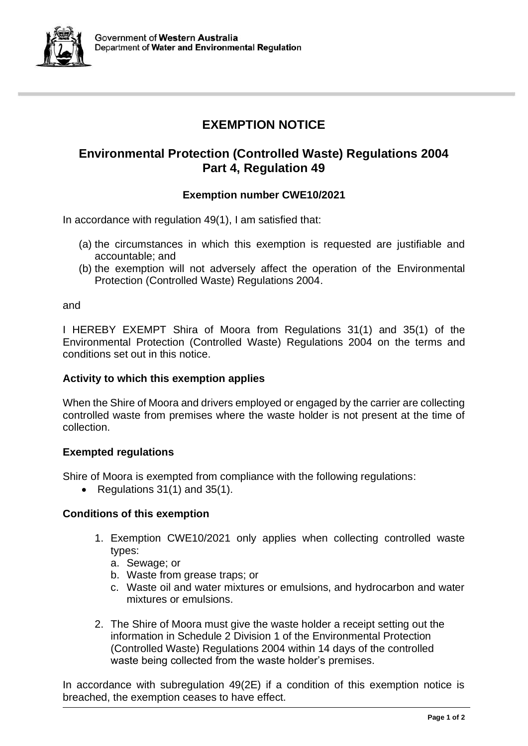

# **EXEMPTION NOTICE**

# **Environmental Protection (Controlled Waste) Regulations 2004 Part 4, Regulation 49**

# **Exemption number CWE10/2021**

In accordance with regulation 49(1), I am satisfied that:

- (a) the circumstances in which this exemption is requested are justifiable and accountable; and
- (b) the exemption will not adversely affect the operation of the Environmental Protection (Controlled Waste) Regulations 2004.

and

I HEREBY EXEMPT Shira of Moora from Regulations 31(1) and 35(1) of the Environmental Protection (Controlled Waste) Regulations 2004 on the terms and conditions set out in this notice.

#### **Activity to which this exemption applies**

When the Shire of Moora and drivers employed or engaged by the carrier are collecting controlled waste from premises where the waste holder is not present at the time of collection.

#### **Exempted regulations**

Shire of Moora is exempted from compliance with the following regulations:

• Regulations 31(1) and 35(1).

## **Conditions of this exemption**

- 1. Exemption CWE10/2021 only applies when collecting controlled waste types:
	- a. Sewage; or
	- b. Waste from grease traps; or
	- c. Waste oil and water mixtures or emulsions, and hydrocarbon and water mixtures or emulsions.
- 2. The Shire of Moora must give the waste holder a receipt setting out the information in Schedule 2 Division 1 of the Environmental Protection (Controlled Waste) Regulations 2004 within 14 days of the controlled waste being collected from the waste holder's premises.

In accordance with subregulation 49(2E) if a condition of this exemption notice is breached, the exemption ceases to have effect.